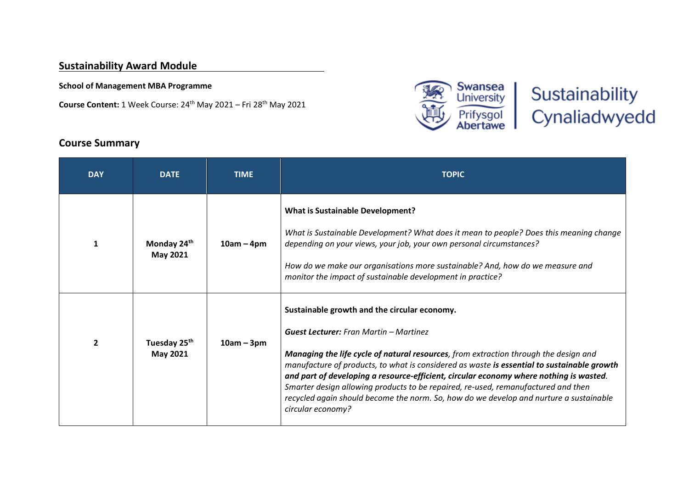### **Sustainability Award Module**

**School of Management MBA Programme**

**Course Content:** 1 Week Course: 24th May 2021 – Fri 28th May 2021



# Sustainability Cynaliadwyedd

## **DAY DATE TIME TOPIC 1 Monday 24th May 2021 10am – 4pm What is Sustainable Development?** *What is Sustainable Development? What does it mean to people? Does this meaning change depending on your views, your job, your own personal circumstances? How do we make our organisations more sustainable? And, how do we measure and monitor the impact of sustainable development in practice?* **2 Tuesday 25th May 2021 10am – 3pm Sustainable growth and the circular economy.** *Guest Lecturer: Fran Martin – Martinez Managing the life cycle of natural resources, from extraction through the design and manufacture of products, to what is considered as waste is essential to sustainable growth and part of developing a resource-efficient, circular economy where nothing is wasted. Smarter design allowing products to be repaired, re-used, remanufactured and then recycled again should become the norm. So, how do we develop and nurture a sustainable circular economy?*

## **Course Summary**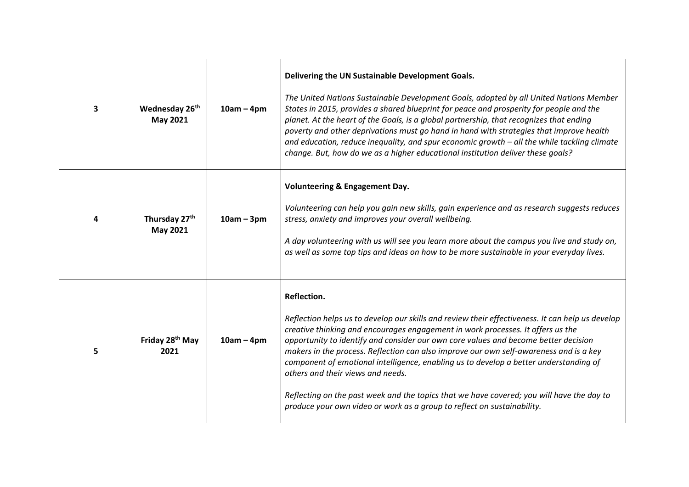| 3 | Wednesday 26th<br>May 2021          | $10am - 4pm$ | Delivering the UN Sustainable Development Goals.<br>The United Nations Sustainable Development Goals, adopted by all United Nations Member<br>States in 2015, provides a shared blueprint for peace and prosperity for people and the<br>planet. At the heart of the Goals, is a global partnership, that recognizes that ending<br>poverty and other deprivations must go hand in hand with strategies that improve health<br>and education, reduce inequality, and spur economic growth - all the while tackling climate<br>change. But, how do we as a higher educational institution deliver these goals?                                                                             |
|---|-------------------------------------|--------------|-------------------------------------------------------------------------------------------------------------------------------------------------------------------------------------------------------------------------------------------------------------------------------------------------------------------------------------------------------------------------------------------------------------------------------------------------------------------------------------------------------------------------------------------------------------------------------------------------------------------------------------------------------------------------------------------|
| 4 | Thursday 27th<br>May 2021           | $10am - 3pm$ | <b>Volunteering &amp; Engagement Day.</b><br>Volunteering can help you gain new skills, gain experience and as research suggests reduces<br>stress, anxiety and improves your overall wellbeing.<br>A day volunteering with us will see you learn more about the campus you live and study on,<br>as well as some top tips and ideas on how to be more sustainable in your everyday lives.                                                                                                                                                                                                                                                                                                |
| 5 | Friday 28 <sup>th</sup> May<br>2021 | $10am - 4pm$ | Reflection.<br>Reflection helps us to develop our skills and review their effectiveness. It can help us develop<br>creative thinking and encourages engagement in work processes. It offers us the<br>opportunity to identify and consider our own core values and become better decision<br>makers in the process. Reflection can also improve our own self-awareness and is a key<br>component of emotional intelligence, enabling us to develop a better understanding of<br>others and their views and needs.<br>Reflecting on the past week and the topics that we have covered; you will have the day to<br>produce your own video or work as a group to reflect on sustainability. |